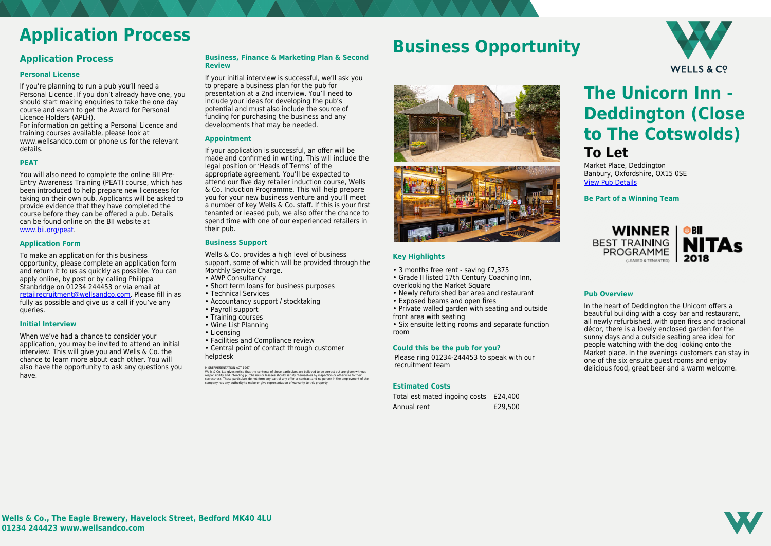

## **Application Process**

### **Application Process**

### **Personal License**

If you're planning to run a pub you'll need a Personal Licence. If you don't already have one, you should start making enquiries to take the one day course and exam to get the Award for Personal Licence Holders (APLH).

For information on getting a Personal Licence and training courses available, please look at www.wellsandco.com or phone us for the relevant details.

### **PEAT**

You will also need to complete the online BII Pre-Entry Awareness Training (PEAT) course, which has been introduced to help prepare new licensees for taking on their own pub. Applicants will be asked to provide evidence that they have completed the course before they can be offered a pub. Details can be found online on the BII website at [www.bii.org/peat.](https://www.bii.org/peat)

### **Application Form**

To make an application for this business opportunity, please complete an application form and return it to us as quickly as possible. You can apply online, by post or by calling Philippa Stanbridge on 01234 244453 or via email at [retailrecruitment@wellsandco.com](mailto:retailrecruitment@wellsandco.com). Please fill in as fully as possible and give us a call if you've any queries.

### **Initial Interview**

Wells & Co. provides a high level of business support, some of which will be provided through the Monthly Service Charge.

When we've had a chance to consider your application, you may be invited to attend an initial interview. This will give you and Wells & Co. the chance to learn more about each other. You will also have the opportunity to ask any questions you have.

### **Business, Finance & Marketing Plan & Second Review**

MISREPRESENTATION ACT 1967<br>Wells & Co. Ltd gives notice that the contents of these particulars are believed to be correct but are given without<br>responsibility and intending purchasers or lessees should satisfy themselves b correctness. These particulars do not form any part of any offer or contract and no person in the employment of the company has any authority to make or give representation of warranty to this property.

If your initial interview is successful, we'll ask you to prepare a business plan for the pub for presentation at a 2nd interview. You'll need to include your ideas for developing the pub's potential and must also include the source of funding for purchasing the business and any developments that may be needed.

### **Appointment**

If your application is successful, an offer will be made and confirmed in writing. This will include the legal position or 'Heads of Terms' of the appropriate agreement. You'll be expected to attend our five day retailer induction course, Wells & Co. Induction Programme. This will help prepare you for your new business venture and you'll meet a number of key Wells & Co. staff. If this is your first tenanted or leased pub, we also offer the chance to spend time with one of our experienced retailers in their pub.

### **Business Support**

- AWP Consultancy
- Short term loans for business purposes
- Technical Services
- Accountancy support / stocktaking
- Payroll support
- Training courses
- Wine List Planning
- Licensing
- Facilities and Compliance review
- Central point of contact through customer helpdesk

## **Business Opportunity**



### **Key Highlights**

- 3 months free rent saving £7,375
- Grade II listed 17th Century Coaching Inn, overlooking the Market Square
- Newly refurbished bar area and restaurant
- Exposed beams and open fires
- Private walled garden with seating and outside front area with seating

• Six ensuite letting rooms and separate function room

### **Could this be the pub for you?**

Please ring 01234-244453 to speak with our recruitment team

### **Estimated Costs**

| Total estimated ingoing costs £24,400 |         |
|---------------------------------------|---------|
| Annual rent                           | £29,500 |

# **The Unicorn Inn - Deddington (Close to The Cotswolds)**

## **To Let**

Market Place, Deddington Banbury, Oxfordshire, OX15 0SE [View Pub Details](https://www.wellsandco.com/pubs/59/the-unicorn-inn-deddington-close-to-the-cotswolds-)

**Be Part of a Winning Team**



### **Pub Overview**

In the heart of Deddington the Unicorn offers a beautiful building with a cosy bar and restaurant, all newly refurbished, with open fires and tradional décor, there is a lovely enclosed garden for the sunny days and a outside seating area ideal for people watching with the dog looking onto the Market place. In the evenings customers can stay in one of the six ensuite guest rooms and enjoy delicious food, great beer and a warm welcome.